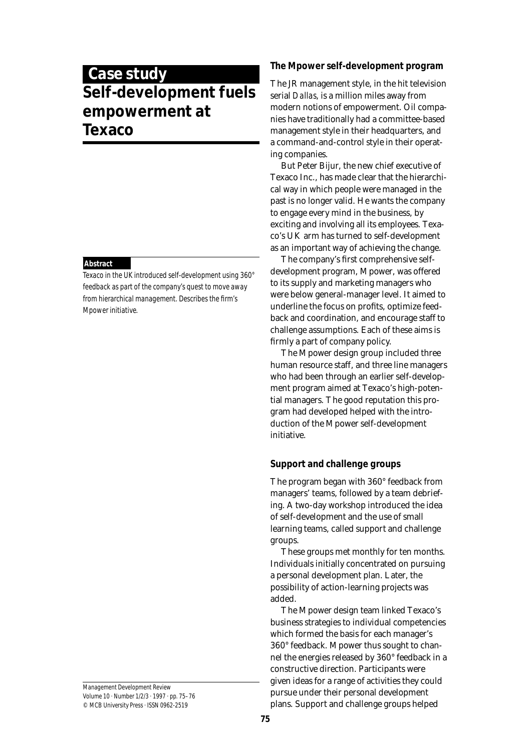# **Case study Self-development fuels empowerment at Texaco**

## **Abstract**

Texaco in the UK introduced self-development using 360° feedback as part of the company's quest to move away from hierarchical management. Describes the firm's Mpower initiative.

Management Development Review Volume 10 · Number 1/2/3 · 1997 · pp. 75–76 © MCB University Press · ISSN 0962-2519

# **The Mpower self-development program**

The JR management style, in the hit television serial *Dallas*, is a million miles away from modern notions of empowerment. Oil companies have traditionally had a committee-based management style in their headquarters, and a command-and-control style in their operating companies.

But Peter Bijur, the new chief executive of Texaco Inc., has made clear that the hierarchical way in which people were managed in the past is no longer valid. He wants the company to engage every mind in the business, by exciting and involving all its employees. Texaco's UK arm has turned to self-development as an important way of achieving the change.

The company's first comprehensive selfdevelopment program, Mpower, was offered to its supply and marketing managers who were below general-manager level. It aimed to underline the focus on profits, optimize feedback and coordination, and encourage staff to challenge assumptions. Each of these aims is firmly a part of company policy.

The Mpower design group included three human resource staff, and three line managers who had been through an earlier self-development program aimed at Texaco's high-potential managers. The good reputation this program had developed helped with the introduction of the Mpower self-development initiative.

# **Support and challenge groups**

The program began with 360° feedback from managers' teams, followed by a team debriefing. A two-day workshop introduced the idea of self-development and the use of small learning teams, called support and challenge groups.

These groups met monthly for ten months. Individuals initially concentrated on pursuing a personal development plan. Later, the possibility of action-learning projects was added.

The Mpower design team linked Texaco's business strategies to individual competencies which formed the basis for each manager's 360° feedback. Mpower thus sought to channel the energies released by 360° feedback in a constructive direction. Participants were given ideas for a range of activities they could pursue under their personal development plans. Support and challenge groups helped